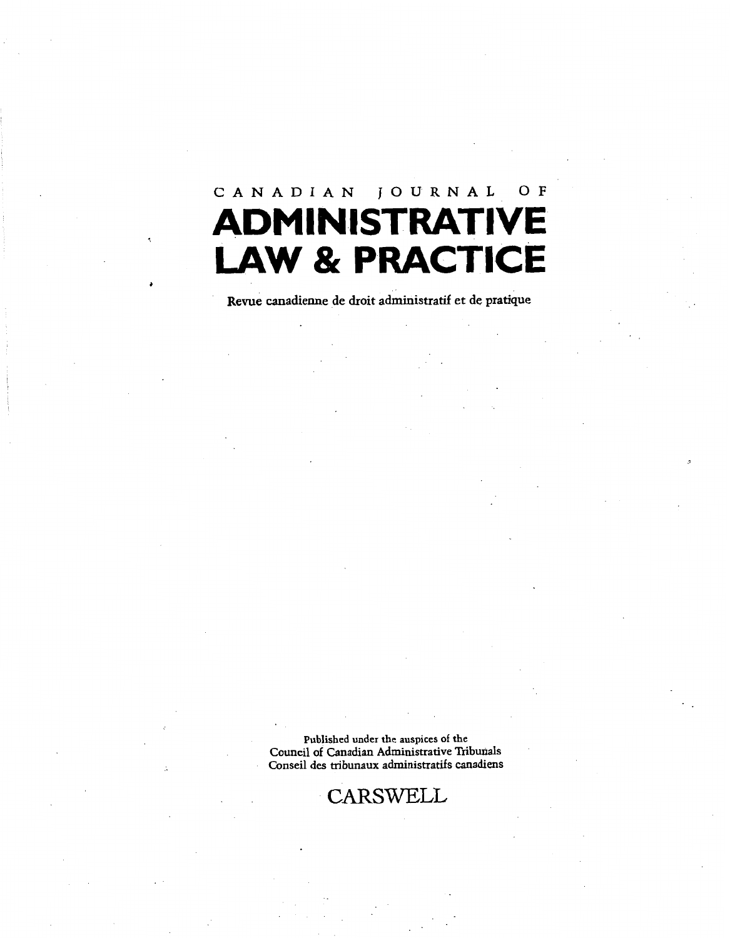# **CANADIAN JOURNAL OF ADMINISTRATIVE LAW & PRACTICE**

Revue canadienne de droit administratif et de pratique

**Published under the auspices of the Council of Canadian Administrative Tribmals Conseil des mbunaux adrninistratifs canadiens** 

**CARSWELL**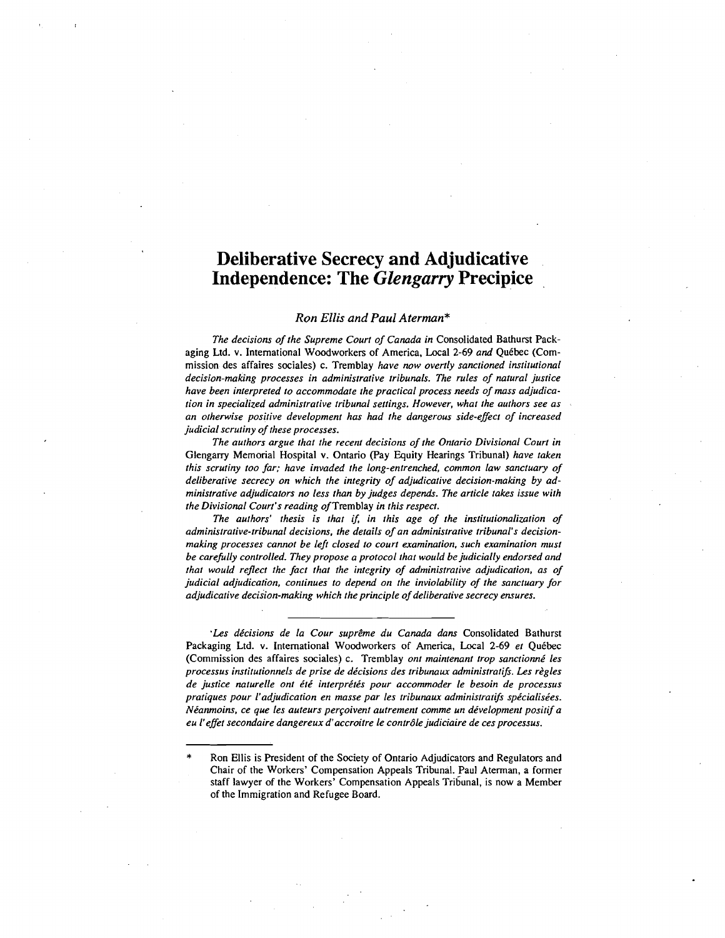## **Deliberative Secrecy and Adjudicative Independence: The** *Glengarry* **Precipice**

#### **Ron** *Ellis* **and** *Paul Aterman\**

*The decisions of the Supreme Court of Canada in* **Consolidated Bathurst Pack**aging Ltd. v. International Woodworkers of America, Local 2-69 and Québec (Com**mission des affaires sociales) c. Tremblay** *have now overtly sanctioned institutional decision-making processes in administrative tribunals. The rules of natural justice have been interpreted to accommodate the practical process needs of mass adjudication in specialized administrative tribunal settings. However, what the authors see as an otherwise positive development has had the dangerous side-effect of increased judicial scrutiny of these processes.* 

*The authors argue that the recent decisions of the Onlario Divisional Courr in*  **Glengarry Memorial Hospital v. Ontario (Pay Equity Hearings Tribunal)** *have taken this scrutiny too far; have invaded the long-entrenched, common law sanctuary of deliberative secrecy on which the integrity of adjudicative decision-making by administrative adjudicators no less than by judges depends. The article takes issue with the Divisional Court's reading of* **Tremblay** *in this respect.* 

*The authors' thesis is that if, in this age of the institutionalization of administrative-tribunal decisions, the details of an administrative tribunal's decisionmaking processes cannot be lefi closed to court examination, such examination must be carefully controlled. They propose a protocol that would be judicially endorsed and that would reflect the fact that the integriry of administrative adjudication, as of judicial adjudication, continues to depend on the inviolability of the sanctuary for adjudicative decision-making which the principle of deliberative secrecy ensures.* 

'Les décisions de la Cour suprême du Canada dans Consolidated Bathurst Packaging Ltd. v. International Woodworkers of America, Local 2-69 et Québec **(Commission des affaires sociales) c. Tremblay** *onr maintenant trop sanctionnk les*  processus institutionnels de prise de décisions des tribunaux administratifs. Les règles *de justice naturelle ont it6 interpritis pour accommoder le besoin de processus*  pratiques pour l'adjudication en masse par les tribunaux administratifs spécialisées. *Néanmoins, ce que les auteurs perçoivent autrement comme un dévelopment positif a eu l'effet secondaire dangereux d'accroitre le contr6le judiciaire de ces processus.* 

<sup>\*</sup> **Ron Ellis is President of the Society of Ontario Adjudicators and Regulators and Chair of the Workers' Compensation Appeals Tribunal. Paul Aterman, a former**  staff lawyer of the Workers' Compensation Appeals Tribunal, is now a Member **of the Immigration and Refugee Board.**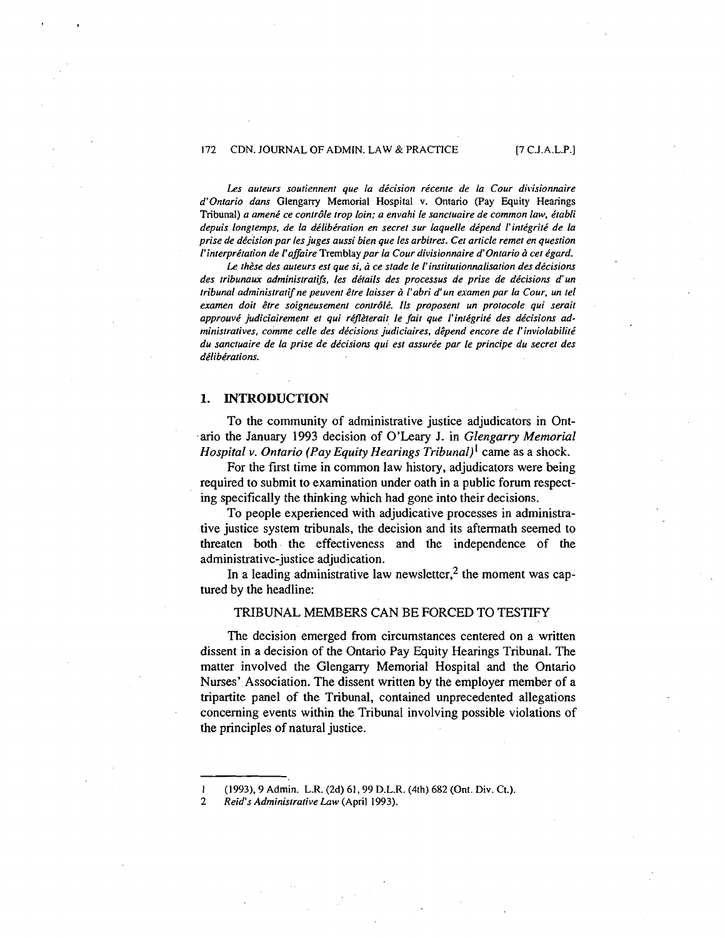Les auteurs soutiennent que la décision récente de la Cour divisionnaire d'Ontario dans Glengarry Memorial Hospital v. Ontario (Pay Equity Hearings Tribunal) a amené ce contrôle trop loin; a envahi le sanctuaire de common law, établi depuis longtemps, de la délibération en secret sur laquelle dépend l'intégrité de la prise de décision par les juges aussi bien que les arbitres. Cet article remet en question l'interprétation de l'affaire Tremblay par la Cour divisionnaire d'Ontario à cet égard.

Le thèse des auteurs est que si, à ce stade le l'institutionnalisation des décisions des tribunaux administratifs, les détails des processus de prise de décisions d'un tribunal administratif ne peuvent être laisser à l'abri d'un examen par la Cour, un tel examen doit être soigneusement contrôlé. Ils proposent un protocole qui serait approuvé judiciairement et qui réflèterait le fait que l'intégrité des décisions administratives, comme celle des décisions judiciaires, dêpend encore de l'inviolabilité du sanctuaire de la prise de décisions qui est assurée par le principe du secret des délibérations.

## **1. INTRODUCTION**

To the community of administrative justice adjudicators in Ont ario the January 1993 decision of O'Leary J. in Glengarry Memorial *Hospital v. Ontario (Pay Equity Hearings Tribunal)*<sup>1</sup> came as a shock.

For the first time in common law history, adjudicators were being required to submit to examination under oath in a public forum respecting specifically the thinking which had gone into their decisions.

To people experienced with adjudicative processes in administrative justice system tribunals, the decision and its aftermath seemed to threaten both the effectiveness and the independence of the administrative-justice adjudication.

In a leading administrative law newsletter,<sup>2</sup> the moment was captured by the headline:

## TRIBUNAL MEMBERS CAN BE FORCED TO TESTIFY

The decision emerged from circumstances centered on a written dissent in a decision of the Ontario Pay Equity Hearings Tribunal. The matter involved the Glengarry Memorial Hospital and the Ontario Nurses' Association. The dissent written by the employer member of a tripartite panel of the Tribunal, contained unprecedented allegations concerning events within the Tribunal involving possible violations of the principles of natural justice.

**<sup>I</sup>**(1993), 9 Adrnin. L.R. (2d) 61,99 D.L.R. (4th) 682 (Ont. Div. Ct.).

<sup>2</sup> Reid's Administrative Law (April 1993).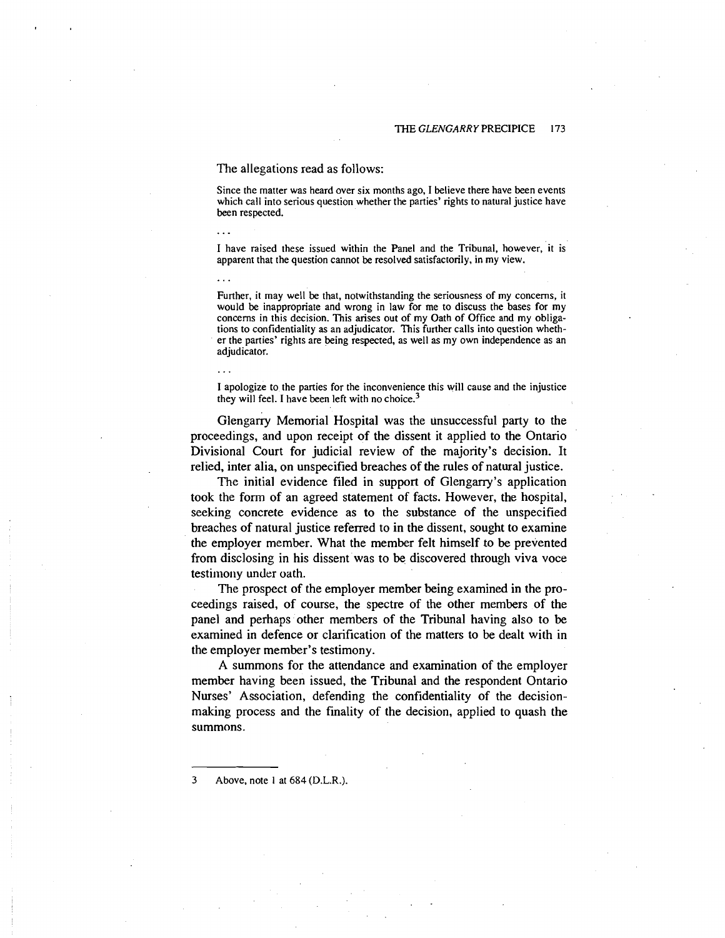#### The allegations read as follows:

Since the matter was heard over six months ago, I believe there have been events which call into serious question whether the parties' rights to natural justice have been respected.

I have raised these issued within the Panel and the Tribunal, however, it is apparent that the question cannot be resolved satisfactorily, in my view.

Further, it may well be that, notwithstanding the seriousness of my concerns, it would be inappropriate and wrong in law for me to discuss the bases for my concerns in this decision. This arises out of my Oath of Office and my obligations to confidentiality as an adjudicator. This further calls into question whether the parties' rights are being respected, as well as my own independence as an adjudicator.

I apologize to the parties for the inconvenience this will cause and the injustice they will feel. I have been left with no choice. $3$ 

Glengarry Memorial Hospital was the unsuccessful party to the proceedings, and upon receipt of the dissent it applied to the Ontario Divisional Court for judicial review of the majority's decision. It relied, inter alia, on unspecified breaches of the rules of natural justice.

The initial evidence filed in support of Glengany's application took the form of an agreed statement of facts. However, the hospital, seeking concrete evidence as to the substance of the unspecified breaches of natural justice referred to in the dissent, sought to examine the employer member. What the member felt himself to be prevented from disclosing in his dissent was to be discovered through viva voce testimony under oath.

The prospect of the employer member being examined in the proceedings raised, of course, the spectre of the other members of the panel and perhaps other members of the Tribunal having also to be examined in defence or clarification of the matters to be dealt with in the employer member's testimony.

A summons for the attendance and examination of the employer member having been issued, the Tribunal and the respondent Ontario Nurses' Association, defending the confidentiality of the decisionmaking process and the finality of the decision, applied to quash the summons.

**3** Above, note **i** at 684 (D.L.R.).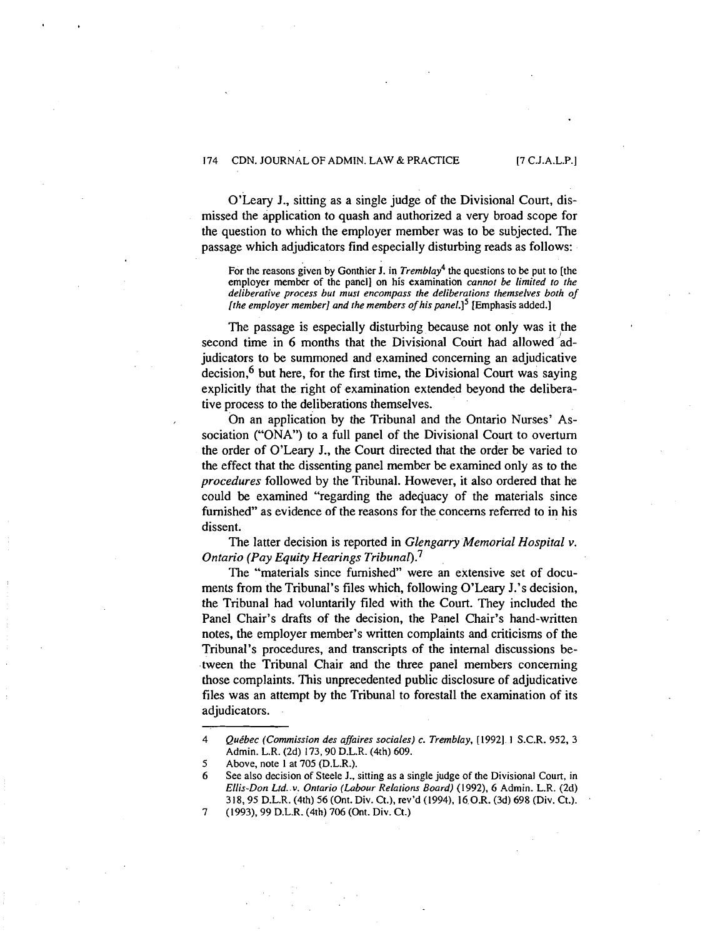O'Leary J., sitting as a single judge of the Divisional Court, dismissed the application to quash and authorized a very broad scope for the question to which the employer member was to be subjected. The passage which adjudicators find especially disturbing reads as follows:

For the reasons given by Gonthier J. in *Tremblay*<sup>4</sup> the questions to be put to [the **employer member of the panel] on his examination** *cannot be limited to the deliberative process but must encompass the deliberations themselves both of [the employer member] and the members of hispanel.15* **[Emphasis added.]** 

The passage is especially disturbing because not only was it the second time in 6 months that the Divisional Court had allowed adjudicators to be summoned and examined concerning an adjudicative decision,  $6$  but here, for the first time, the Divisional Court was saying explicitly that the right of examination extended beyond the deliberative process to the deliberations themselves.

On an application by the Tribunal and the Ontario Nurses' Association ("ONA") to a full panel of the Divisional Court to overturn the order of O'Leary J., the Court directed that the order be varied to the effect that the dissenting panel member be examined only as to the *procedures* followed by the Tribunal. However, it also ordered that he could be examined "regarding the adecjuacy of the materials since furnished" as evidence of the reasons for the concerns referred to in his dissent.

The latter decision is reported in *Glengarry Memorial Hospital v. Ontario (Pay Equity Hearings Tribunal).*<sup>7</sup>

The "materials since furnished" were an extensive set of documents from the Tribunal's files which, following O'Leary J.'s decision, the Tribunal had voluntarily filed with the Court. They included the Panel Chair's drafts of the decision, the Panel Chair's hand-written notes, the employer member's written complaints and criticisms of the Tribunal's procedures, and transcripts of the internal discussions between the Tribunal Chair and the three panel members concerning those complaints. This unprecedented public disclosure of adjudicative files was an attempt by the Tribunal to forestall the examination of its adjudicators.

7 **(1993), 99 D.L.R. (4th) 706 (Ont. Div. Ct.)** 

**<sup>4</sup>** *Qukbec (Commission des affaires sociales) c. Tremblay,* **[1992]. 1 S.C.R. 952, 3 Admin. L.R. (2d) 173,90 D.L.R. (4th) 609.** 

**<sup>5</sup> Above, note I at 705 (D.L.R.).** 

**<sup>6</sup> See also decision of Steele J., sitting as a single judge of the Divisional Court, in**  *Ellis-Don Ltd..v. Ontario (Labour Relations Board)* **(1992), 6 Admin. L.R. (2d) 318,95 D.L.R. (4th) 56 (Ont. Div. Ct.), rev'd (1994). 16.0.R. (3d) 698 (Div. Ct.).**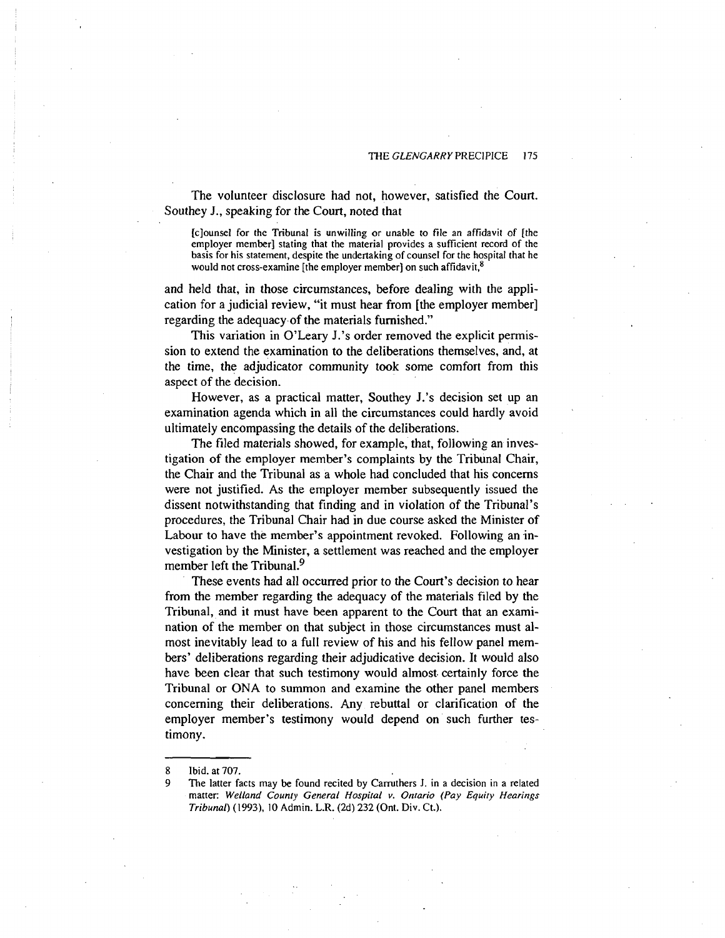The volunteer disclosure had not, however, satisfied the Court. Southey J., speaking for the Court, noted that

**[clounsel for the Tribunal is unwilling or unable to file an affidavit of [the employer member] stating that the material provides a sufficient record of the basis for his statement, despite the undertaking of counsel for the hospital that he**  would not cross-examine [the employer member] on such affidavit,<sup>8</sup>

and held that, in those circumstances, before dealing with the application for a judicial review, "it must hear from [the employer member] regarding the adequacy.of the materials furnished."

This variation in O'Leary J.'s order removed the explicit permission to extend the examination to the deliberations themselves, and, at the time, the adjudicator community took some comfort from this aspect of the decision.

However, as a practical matter, Southey J.'s decision set up an examination agenda which in all the circumstances could hardly avoid ultimately encompassing the details of the deliberations.

The filed materials showed, for example, that, following an investigation of the employer member's complaints by the Tribunal Chair, the Chair and the Tribunal as a whole had concluded that his concerns were not justified. As the employer member subsequently issued the dissent notwithstanding that finding and in violation of the Tribunal's procedures, the Tribunal Chair had in due course asked the Minister of Labour to have the member's appointment revoked. Following an investigation by the Minister, a settlement was reached and the employer member left the Tribunal. $9$ 

These events had all occurred prior to the Court's decision to hear from the member regarding the adequacy of the materials filed by the Tribunal, and it must have been apparent to the Court that an examination of the member on that subject in those circumstances must almost inevitably lead to a full review of his and his fellow panel members' deliberations regarding their adjudicative decision. It would also have been clear that such testimony would almost. certainly force the Tribunal or ONA to summon and examine the other panel members concerning their deliberations. Any rebuttal or clarification of the employer member's testimony would depend on such further testimony.

**<sup>8</sup> Ibid. at 707.** 

The latter facts may be found recited by Carruthers J. in a decision in a related **matter: Welland County General Hospital v. Ontario (Pay Equity Hearings Tribunal) (1993), 10 Admin. L.R. (2d) 232 (Ont. Div. Ct.).**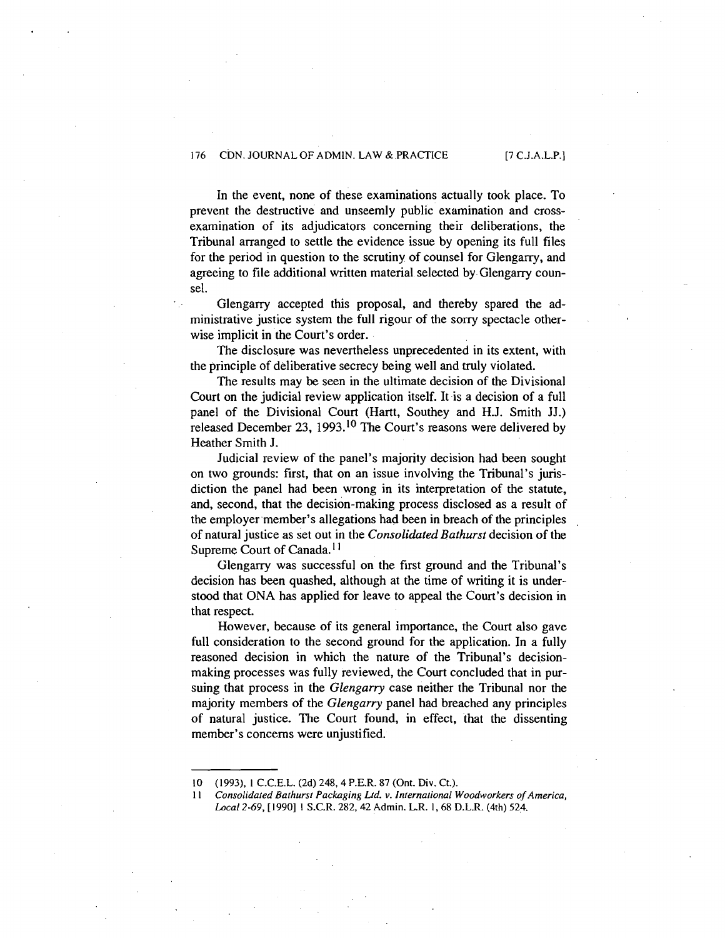In the event, none of these examinations actually took place. To prevent the destructive and unseemly public examination and crossexamination of its adjudicators concerning their deliberations, the Tribunal arranged to settle the evidence issue by opening its full files for the period in question to the scrutiny of counsel for Glengarry, and agreeing to file additional written material selected by Glengarry counsel.

Glengarry accepted this proposal, and thereby spared the administrative justice system the full rigour of the sorry spectacle otherwise implicit in the Court's order.

The disclosure was nevertheless unprecedented in its extent, with the principle of deliberative secrecy being well and truly violated.

The results may be seen in the ultimate decision of the Divisional Court on the judicial review application itself. It is a decision of a full panel of the Divisional Court (Hartt, Southey and H.J. Smith JJ.) released December 23, **1993.1°** The Court's reasons were delivered by Heather Smith J.

Judicial review of the panel's majority decision had been sought on two grounds: first, that on an issue involving the Tribunal's jurisdiction the panel had been wrong in its interpretation of the statute, and, second, that the decision-making process disclosed as a result of the employer member's allegations had been in breach of the principles , of natural justice as set out in the *Consolidated Bathurst* decision of the Supreme Court of Canada.<sup>11</sup>

Glengarry was successful on the first ground and the Tribunal's decision has been quashed, although at the time of writing it is understood that ONA has applied for leave to appeal the Court's decision in that respect.

However, because of its general importance, the Court also gave full consideration to the second ground for the application. In a fully reasoned decision in which the nature of the Tribunal's decisionmaking processes was fully reviewed, the Court concluded that in pursuing that process in the *Glengarry* case neither the Tribunal nor the majority members of the *Glengarry* panel had breached any principles of natural justice. The Court found, in effect, that the dissenting member's concerns were unjustified.

**I0 (1993). IC.C.E.L.(2d)248,4P.E.R.87(Ont.Div.Ct.).** 

**I I** *Consolidafcd Bafhurs! Packaging Lfd.* **v.** *Infernafional Woodworkers of America, Local 2-69,* **[I9901 1 S.C.R. 282.42 Admin. L.R. 1,68 D.L.R. (4th) 524.**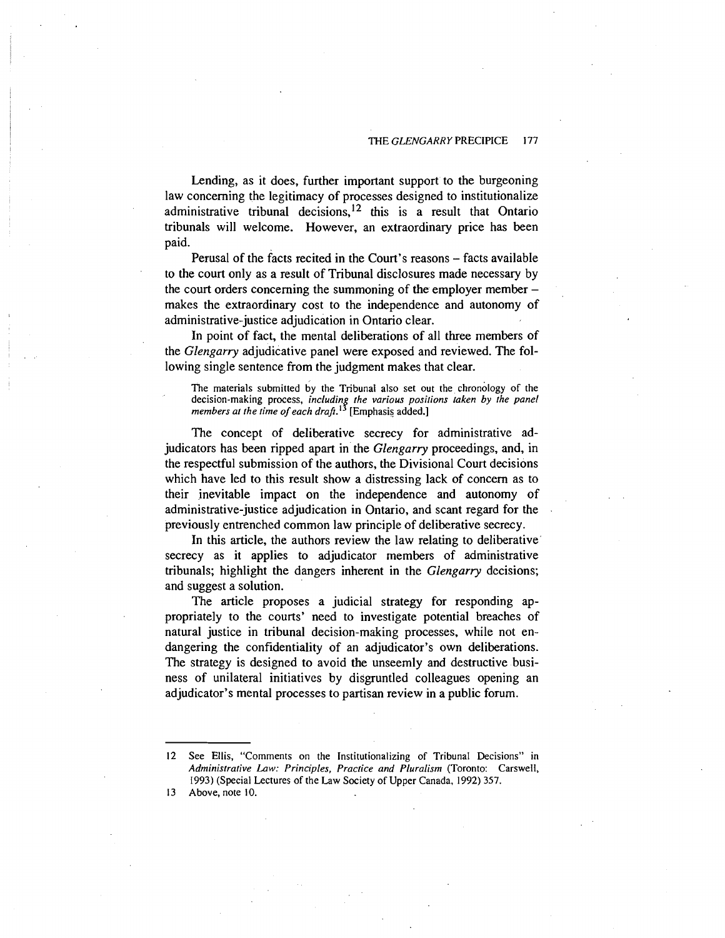Lending, as it does, further important support to the burgeoning law concerning the legitimacy of processes designed to institutionalize administrative tribunal decisions,  $12$  this is a result that Ontario tribunals will welcome. However, an extraordinary price has been paid.

Perusal of the facts recited in the Court's reasons – facts available to the court only as a result of Tribunal disclosures made necessary by the court orders concerning the summoning of the employer member makes the extraordinary cost to the independence and autonomy of administrative-justice adjudication in Ontario clear.

In point of fact, the mental deliberations of all three members of the *Glengarry* adjudicative panel were exposed and reviewed. The following single sentence from the judgment makes that clear.

**The materials submitted by the Tribunal also set out the chronology of the**  decision-making process, *including the various positions taken by the panel*  $m$  *members at the time of each draft*.<sup>13</sup> [Emphasis added.]

The concept of deliberative secrecy for administrative adjudicators has been ripped apart in the *Glengarry* proceedings, and, in the respectful submission of the authors, the Divisional Court decisions which have led to this result show a distressing lack of concern as to their inevitable impact on the independence and autonomy of administrative-justice adjudication in Ontario, and scant regard for the previously entrenched common law principle of deliberative secrecy.

In this article, the authors review the law relating to deliberative secrecy as it applies to adjudicator members of administrative tribunals; highlight the dangers inherent in the *Glengarry* decisions; and suggest a solution.

The article proposes a judicial strategy for responding appropriately to the courts' need to investigate potential breaches of natural justice in tribunal decision-making processes, while not endangering the confidentiality of an adjudicator's own deliberations. The strategy is designed to avoid the unseemly and destructive business of unilateral initiatives by disgruntled colleagues opening an adjudicator's mental processes to partisan review in a public forum.

**13 Above, note 10.** 

**<sup>12</sup> See Ellis, "Comments on the Institutionalizing of Tribunal Decisions" in**  *Adminisfrafive Law: Principles, Pracfice and PIuralism* **(Toronto: Carswell, 1993) (Special Lectures of the Law Society of Upper Canada, 1992) 357.**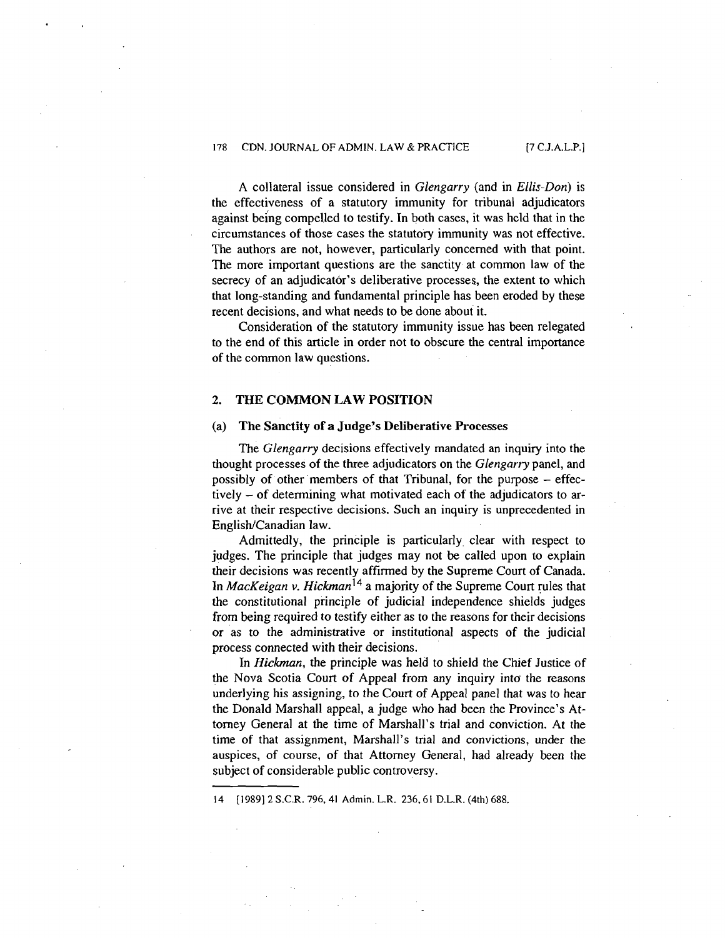A collateral issue considered in *Glengarry* (and in *Ellis-Don)* is the effectiveness of a statutory immunity for tribunal adjudicators against being compelled to testify. In both cases, it was held that in the circumstances of those cases the statutory immunity was not effective. The authors are not, however, particularly concerned with that point. The more important questions are the sanctity at common law of the secrecy of an adjudicator's deliberative processes, the extent to which that long-standing and fundamental principle has been eroded by these recent decisions, and what needs to be done about it.

Consideration of the statutory immunity issue has been relegated to the end of this article in order not to obscure the central importance of the common law questions.

## **2. THE COMMON LAW POSITION**

## (a) The **Sanctity** of **a Judge's Deliberative Processes**

The *Glengarry* decisions effectively mandated an inquiry into the thought processes of the three adjudicators on the *Glengarry* panel, and possibly of other members of that Tribunal, for the purpose - effectively  $-$  of determining what motivated each of the adjudicators to arrive at their respective decisions. Such an inquiry is unprecedented in English/Canadian law.

Admittedly, the principle is particularly clear with respect to judges. The principle that judges may not be called upon to explain their decisions was recently affirmed by the Supreme Court of Canada. In *MacKeigan v. Hickman*<sup>14</sup> a majority of the Supreme Court rules that the constitutional principle of judicial independence shields judges from being required to testify either as to the reasons for their decisions or as to the administrative or institutional aspects of the judicial process connected with their decisions.

In *Hickman,* the principle was held to shield the Chief Justice of the Nova Scotia Court of Appeal from any inquiry into the reasons underlying his assigning, to the Court of Appeal panel that was to hear the Donald Marshall appeal, a judge who had been the Province's Attorney General at the time of Marshall's trial and conviction. At the time of that assignment, Marshall's trial and convictions, under the auspices, of course, of that Attorney General, had already been the subject of considerable public controversy.

14 [I9891 2 S.C.R. 796,41 Admin. L.R. 236.61 D.L.R. (4th) 688.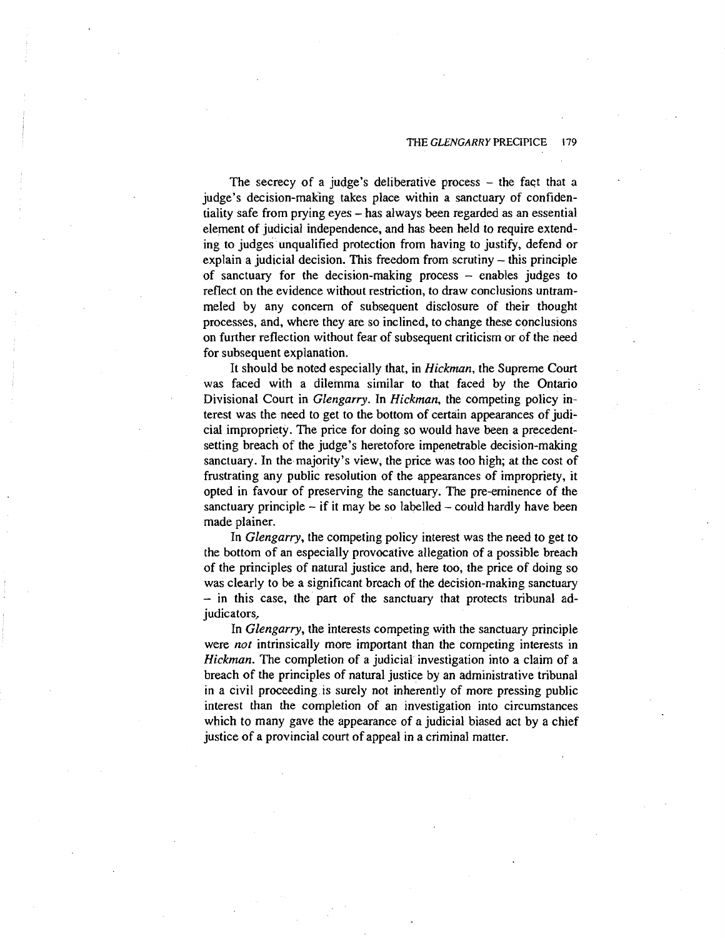The secrecy of a judge's deliberative process  $-$  the fact that a judge's decision-making takes place within a sanctuary of confidentiality safe from prying eyes - has always been regarded as an essential element of judicial independence, and has been held to require extending to judges unqualified protection from having to justify, defend or explain a judicial decision. This freedom from scrutiny  $-$  this principle of sanctuary for the decision-making process  $-$  enables judges to reflect on the evidence without restriction, to draw conclusions untrammeled by any concern of subsequent disclosure of their thought processes, and, where they are so inclined, to change these conclusions on further reflection without fear of subsequent criticism or of the need for subsequent explanation.

It should be noted especially that, in Hickman, the Supreme Court **was** faced with a dilemma similar to that faced by the Ontario Divisional Court in Glengarry. In Hickman, the competing policy interest was the need to get to the bottom of certain appearances of judicial impropriety. The price for doing so would have been a precedentsetting breach of the judge's heretofore impenetrable decision-making sanctuary. In the majority's view, the price was too high; at the cost of frustrating any public resolution of the appearances of impropriety, it opted in favour of preserving the sanctuary. The pre-eminence of the sanctuary principle  $-$  if it may be so labelled  $-$  could hardly have been made plainer.

In Glengarry, the competing policy interest was the need to get to the bottom of an especially provocative allegation of a possible breach of the principles of natural justice and, here too, the price of doing so was clearly to be a significant brcach of the decision-making sanctuary - in this case, the part of the sanctuary that protects tribunal adjudicators,

In Glengarry, the interests competing with the sanctuary principle were *not* intrinsically more important than the competing interests in Hickman. The completion of a judicial investigation into a claim of a breach of the principles of natural justice by an administrative tribunal in a civil proceeding is surely not inherently of more pressing public interest than the completion of an investigation into circumstances which to many gave the appearance of a judicial biased act by a chief justice of a provincial court of appeal in a criminal matter.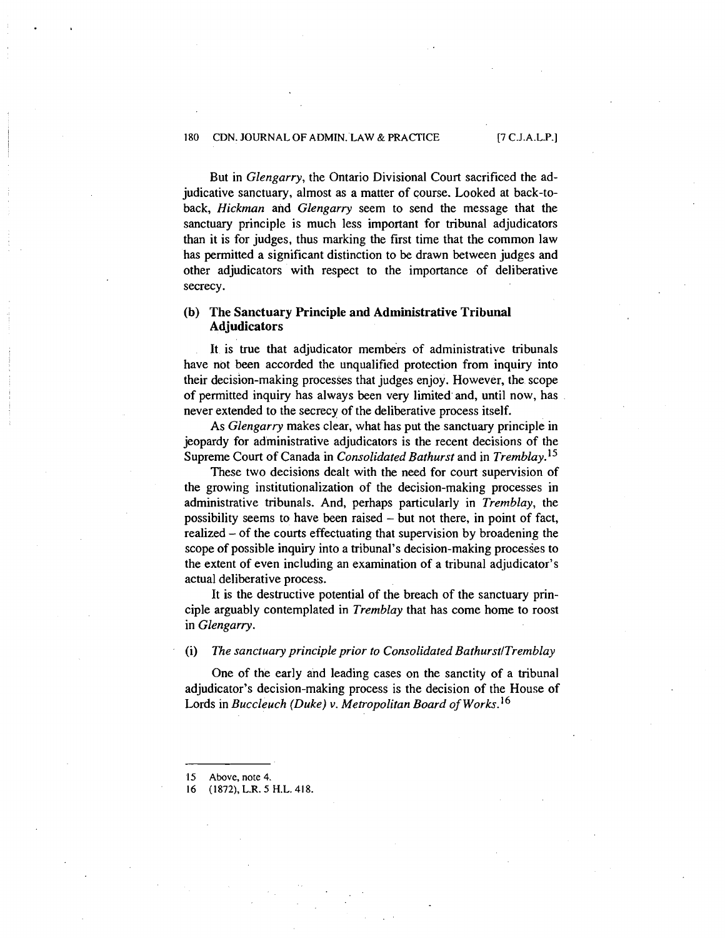But in *Glengarry,* the Ontario Divisional Court sacrificed the adjudicative sanctuary, almost as a matter of course. Looked at back-toback, *Hickrnan* and *Glengarry* seem to send the message that the sanctuary principle is much less important for tribunal adjudicators than it is for judges, thus marking the first time that the common law has permitted a significant distinction to be drawn between judges and other adjudicators with respect to the importance of deliberative secrecy.

## **(b) The Sanctuary Principle and Administrative Tribunal Adjudicators**

It is true that adjudicator members of administrative tribunals have not been accorded the unqualified protection from inquiry into their decision-making processes that judges enjoy. However, the scope of permitted inquiry has always been very limited and, until now, has never extended to the secrecy of the deliberative process itself.

As *Glengarry* makes clear, what has put the sanctuary principle in jeopardy for administrative adjudicators is the recent decisions of the Supreme Court of Canada in *Consolidated Bathurst* and in *Tremblay*.<sup>15</sup>

These two decisions dealt with the need for court supervision of the growing institutionalization of the decision-making processes in administrative tribunals. And, perhaps particularly in *Tremblay,* the possibility seems to have been raised - but not there, in point of fact, realized - of the courts effectuating that supervision by broadening the scope of possible inquiry into a tribunal's decision-making processes to the extent of even including an examination of a tribunal adjudicator's actual deliberative process.

It is the destructive potential of the breach of the sanctuary principle arguably contemplated in *Tremblay* that has come home to roost in *Glengarry.* 

#### (i) *The sanctuary principle prior to Consolidated BathurstlTremblay*

One of the early and leading cases on the sanctity of a tribunal adjudicator's decision-making process is the decision of the House of Lords in *Buccleuch (Duke)* v. *Metropolitan Board of works.16* 

*16* (1872). L.R. *5* H.L. 41 8.

*<sup>15</sup>* Above, note *4.*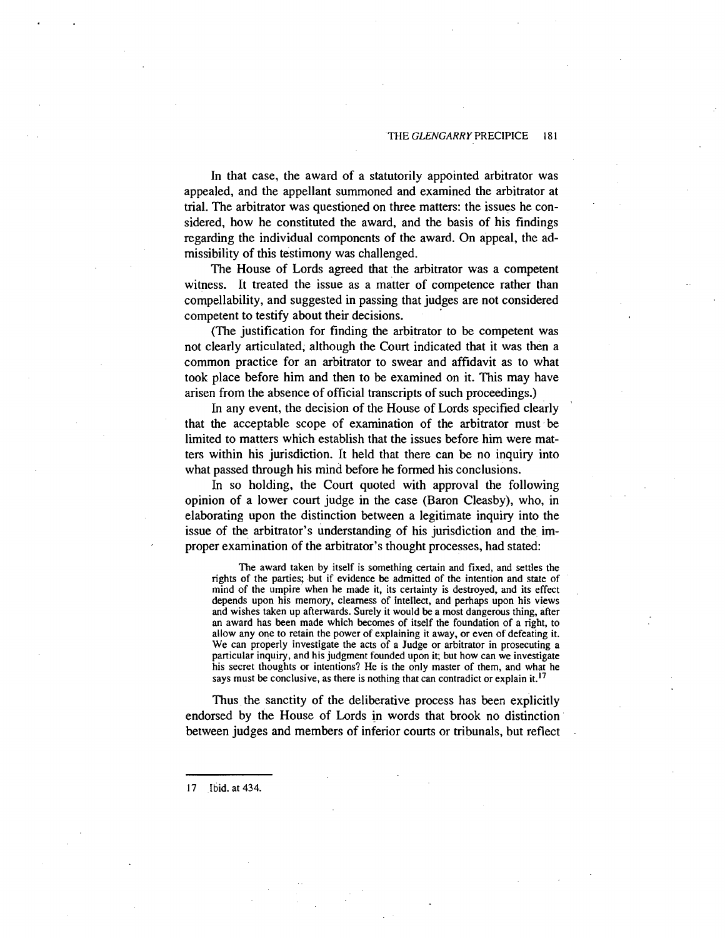In that case, the award of a statutorily appointed arbitrator was appealed, and the appellant summoned and examined the arbitrator at trial. The arbitrator was questioned on three matters: the issues he considered, how he constituted the award, and the basis of his findings regarding the individual components of the award. On appeal, the admissibility of this testimony was challenged.

The House of Lords agreed that the arbitrator was a competent witness. It treated the issue as a matter of competence rather than compellability, and suggested in passing that judges are not considered competent to testify about their decisions.

(The justification for finding the arbitrator to be competent was not clearly articulated, although the Court indicated that it was then a common practice for an arbitrator to swear and affidavit as to what took place before him and then to be examined on it. This may have arisen from the absence of official transcripts of such proceedings.)

In any event, the decision of the House of Lords specified clearly that the acceptable scope of examination of the arbitrator must be limited to matters which establish that the issues before him were matters within his jurisdiction. It held that there can be no inquiry into what passed through his mind before he formed his conclusions.

In so holding, the Court quoted with approval the following opinion of a lower court judge in the case (Baron Cleasby), who, in elaborating upon the distinction between a legitimate inquiry into the issue of the arbitrator's understanding of his jurisdiction and the improper examination of the arbitrator's thought processes, had stated:

The award taken by itself is something certain and fixed, and settles the rights of the parties; but if evidence be admitted of the intention and state of mind of the umpire when he made it, its certainty is destroyed, and its effect depends upon his memory, clearness of intellect, and perhaps upon his views and wishes taken up afterwards. Surely it would be a most dangerous thing, after an award has been made which becomes of itself the foundation of a right, to allow any one to retain the power of explaining it away, or even of defeating it. We can properly investigate the acts of a Judge or arbitrator in prosecuting a particular inquiry, and his judgment founded upon it; but how can we investigate his secret thoughts or intentions? He is the only master of them, and what he says must be conclusive, as there is nothing that can contradict or explain it.<sup>17</sup>

Thus the sanctity of the deliberative process has been explicitly endorsed by the House of Lords in words that brook no distinction between judges and members of inferior courts or tribunals, but reflect

17 Ibid. at 434.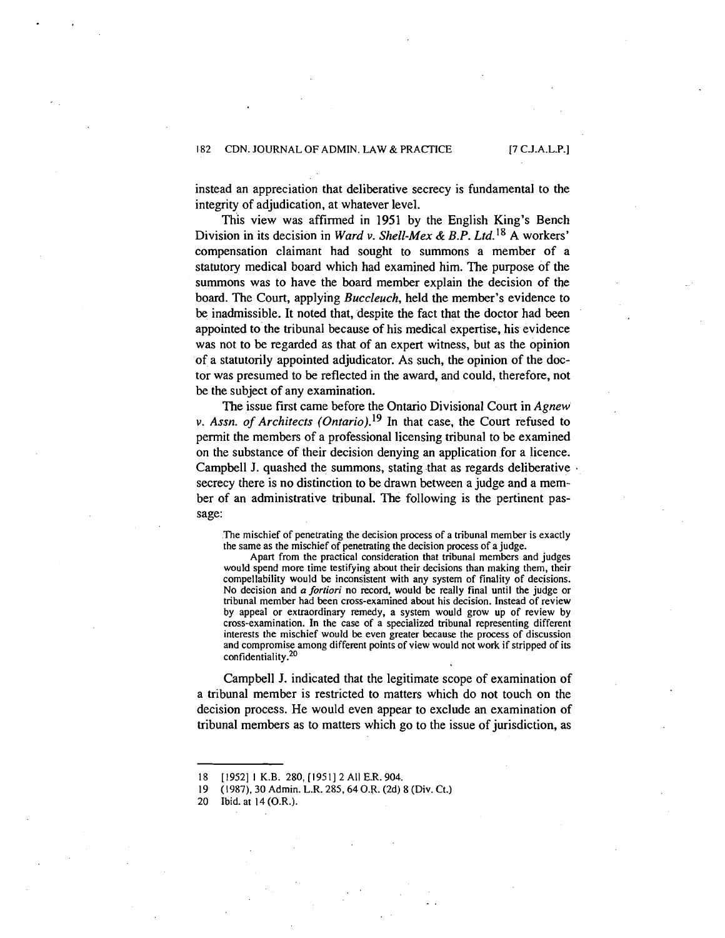instead an appreciation that deliberative secrecy is fundamental to the integrity of adjudication, at whatever level.

This view was affirmed in 1951 by the English King's Bench Division in its decision in Ward v. Shell-Mex & B.P. Ltd.<sup>18</sup> A workers' compensation claimant had sought to summons a member of a statutory medical board which had examined him. The purpose of the summons was to have the board member explain the decision of the board. The Court, applying Buccleuch, held the member's evidence to be inadmissible. It noted that, despite the fact that the doctor had been appointed to the tribunal because of his medical expertise, his evidence was not to be regarded as that of an expert witness, but as the opinion of a statutorily appointed adjudicator. As such, the opinion of the doctor was presumed to be reflected in the award, and could, therefore, not be the subject of any examination.

The issue first came before the Ontario Divisional Court in Agnew **v.** Assn. of Architects (0ntario).19 In that case, the Court refused to permit the members of a professional licensing tribunal to be examined on the substance of their decision denying an application for a licence. Campbell J. quashed the summons, stating that as regards deliberative . secrecy there is no distinction to be drawn between a judge and a member of an administrative tribunal. The following is the pertinent passage:

The mischief of penetrating the decision process of a tribunal member is exactly the same as the mischief of penetrating the decision process of a judge.

Apart from the practical consideration that tribunal members and judges would spend more time testifying about their decisions than making them, their compellability would be inconsistent with any system of finality of decisions. No decision and a **fortiori** no record, would **be** really final until the judge or tribunal member had been cross-examined about his decision. Instead of review by appeal or extraordinary remedy, a system would grow up of review by cross-examination. In the case of a specialized tribunal representing different interests the mischief would be even greater because the process of discussion and compromise among different points of view would not work if stripped of its confidentiality. $^{20}$ 

Campbell J. indicated that the legitimate scope of examination of a tribunal member is restricted to matters which do not touch on the decision process. He would even appear to exclude an examination of tribunal members as to matters which go to the issue of jurisdiction, as

Ibid. at 14 (O.R.).

<sup>18 [</sup>I9521 **1** K.B. 280, [I95 I] 2 All E.R. 904. 19 (1987). 30 Admin. L.R. 285,64 O.R. (2d) 8 (Div. Ct.)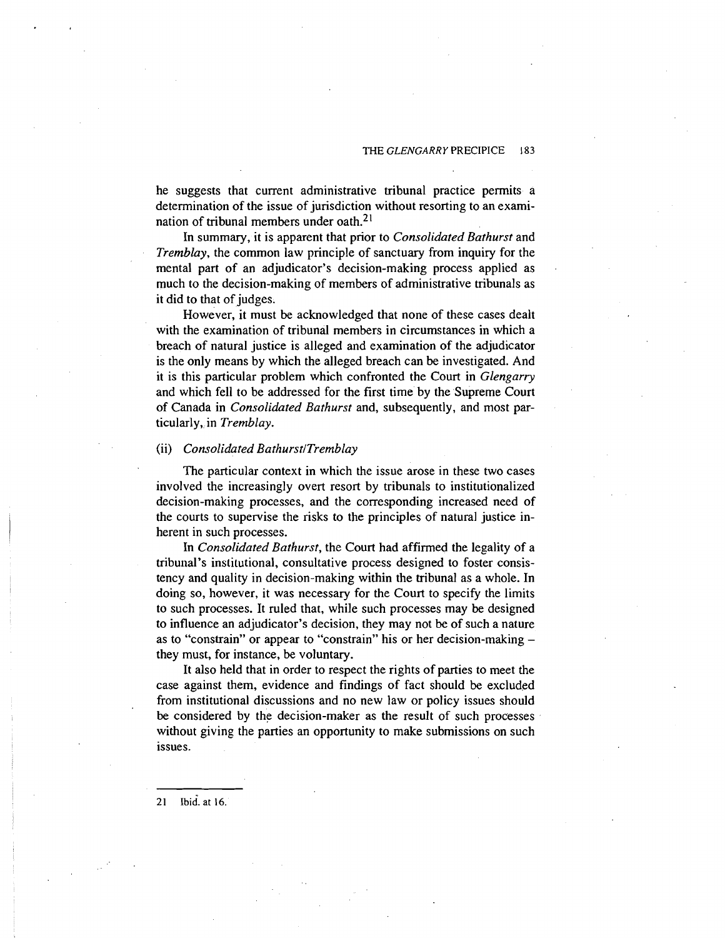he suggests that current administrative tribunal practice permits a determination of the issue of jurisdiction without resorting to an examination of tribunal members under oath.2'

In summary, it is apparent that prior to *Consolidated Bathurst* and *Tremblay,* the common law principle of sanctuary from inquiry for the mental part of an adjudicator's decision-making process applied as much to the decision-making of members of administrative tribunals as it did to that of judges.

However, it must be acknowledged that none of these cases dealt with the examination of tribunal members in circumstances in which a breach of natural justice is alleged and examination of the adjudicator is the only means by which the alleged breach can be investigated. And it is this particular problem which confronted the Court in *Glengarry*  and which fell to be addressed for the first time by the Supreme Court of Canada in *Consolidated Bathurst* and, subsequently, and most particularly, in *Tremblay.* 

#### (ii) *Consolidated BathurstlTremblay*

The particular context in which the issue arose in these two cases involved the increasingly overt resort by tribunals to institutionalized decision-making processes, and the corresponding increased need of the courts to supervise the risks to the principles of natural justice inherent in such processes.

In *Consolidated Bathurst,* the Court had affirmed the legality of a tribunal's institutional, consultative process designed to foster consistency and quality in decision-making within the tribunal as a whole. In doing so, however, it was necessary for the Court to specify the limits to such processes. It ruled that, while such processes may be designed to influence an adjudicator's decision, they may not be of such a nature as to "constrain" or appear to "constrain" his or her decision-making they must, for instance, be voluntary.

It also held that in order to respect the rights of parties to meet the case against them, evidence and findings of fact should be excluded from institutional discussions and no new law or policy issues should be considered by the decision-maker as the result of such processes without giving the parties an opportunity to make submissions on such issues.

Ibid. at 16.  $21$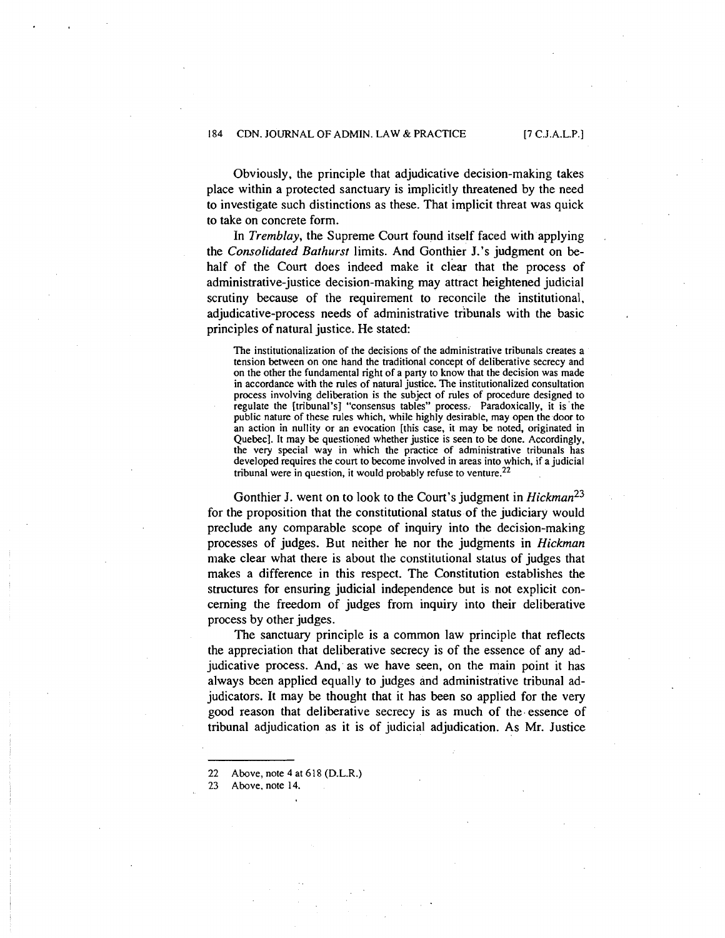Obviously, the principle that adjudicative decision-making takes place within a protected sanctuary is implicitly threatened by the need to investigate such distinctions as these. That implicit threat was quick to take on concrete form.

In Tremblay, the Supreme Court found itself faced with applying the Consolidared Barhursr limits. And Gonthier J.'s judgment on behalf of the Court does indeed make it clear that the process of administrative-justice decision-making may attract heightened judicial scrutiny because of the requirement to reconcile the institutional, adjudicative-process needs of administrative tribunals with the basic principles of natural justice. He stated:

The institutionalization of the decisions of the administrative tribunals creates a tension between on one hand the traditional concept of deliberative secrecy and on the other the fundamental right of a party to know that the decision was made in accordance with the rules of natural justice. The institutionalized consultation process involving deliberation is the subject of rules of procedure designed to regulate the [tribunal's] "consensus tables" process; Paradoxically, it is'the public nature of these rules which, while highly desirable, may open the door to an action in nullity or an evocation [this case, it may be noted, originated in Quebec]. It may be questioned whether justice is seen to be done. Accordingly, the very special way in which the practice of administrative tribunals has developed requires the court to become involved in areas into which, if a judicial tribunal were in question, it would probably refuse to venture.<sup>22</sup>

Gonthier J. went on to look to the Court's judgment in  $Hickman^{23}$ for the proposition that the constitutional status of the judiciary would preclude any comparable scope of inquiry into the decision-making processes of judges. But neither he nor the judgments in Hickman make clear what there is about the constitutional status of judges that makes a difference in this respect. The Constitution establishes the structures for ensuring judicial independence but is not explicit concerning the freedom of judges from inquiry into their deliberative process by other judges.

The sanctuary principle is a common law principle that reflects the appreciation that deliberative secrecy is of the essence of any adjudicative process. And, as we have seen, on the main point it has always been applied equally to judges and administrative tribunal adjudicators. It may be thought that it has been so applied for the very good reason that deliberative secrecy is as much of the essence of tribunal adjudication as it is of judicial adjudication. As Mr. Justice

23 Above, note **14.** 

<sup>22</sup> Above, note **4** at 6 **18** (D.L.R.)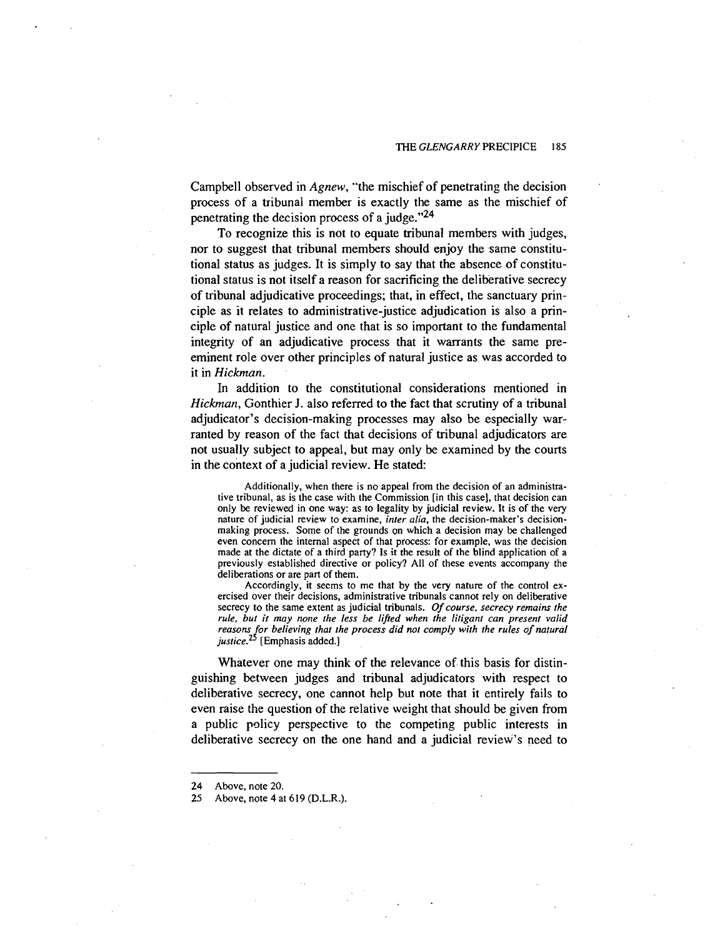Campbell observed in *Agnew,* "the mischief of penetrating the decision process of a tribunal member is exactly the same as the mischief of penetrating the decision process of a judge."<sup>24</sup>

To recognize this is not to equate tribunal members with judges, nor to suggest that tribunal members should enjoy the same constitutional status as judges. It is simply to say that the absence of constitutional status is not itself a reason for sacrificing the deliberative secrecy of tribunal adjudicative proceedings; that, in effect, the sanctuary principle as it relates to administrative-justice adjudication is also a principle of natural justice and one that is so important to the fundamental integrity of an adjudicative process that it warrants the same preeminent role over other principles of natural justice as was accorded to it in *Hickman.* 

In addition to the constitutional considerations mentioned in *Hickman,* Gonthier J. also referred to the fact that scrutiny of a tribunal adjudicator's decision-making processes may also be especially warranted by reason of the fact that decisions of tribunal adjudicators are not usually subject to appeal, but may only be examined by the courts in the context of a judicial review. He stated:

Additionally, when there is no appeal from the decision of an administrative tribunal, as is the case with the Commission [in this case], that decision can only be reviewed in one way: as to legality by judicial review. It is of the very nature of judicial review to examine, *inter alia,* the decision-maker's decisionmaking process. Some of the grounds on which a decision may be challenged even concern the internal aspect of that process: for example, was the decision made at the dictate of a third party? Is it the result of the blind application of a previously established directive or policy? All of these events accompany the deliberations or are part of them.

Accordingly, it seems to mc that by the very nature of the control exercised over their decisions, administrative tribunals cannot rely on deliberative secrecy to the same extent as judicial tribunals. *Of course, secrecy remains the rule, but it may none the less be lifed when the lirigant can present valid*  reasons for believing that the process did not comply with the rules of natural justice.<sup>25</sup> [Emphasis added.]

Whatever one may think of the relevance of this basis for distinguishing between judges and tribunal adjudicators with respect to deliberative secrecy, one cannot help but note that it entirely fails to even raise the question of the relative weight that should be given from a public policy perspective to the competing public interests in deliberative secrecy on the one hand and a judicial review's need to

<sup>24</sup> Above, note 20.

<sup>25</sup> Above, note 4 at 619 (D.L.R.).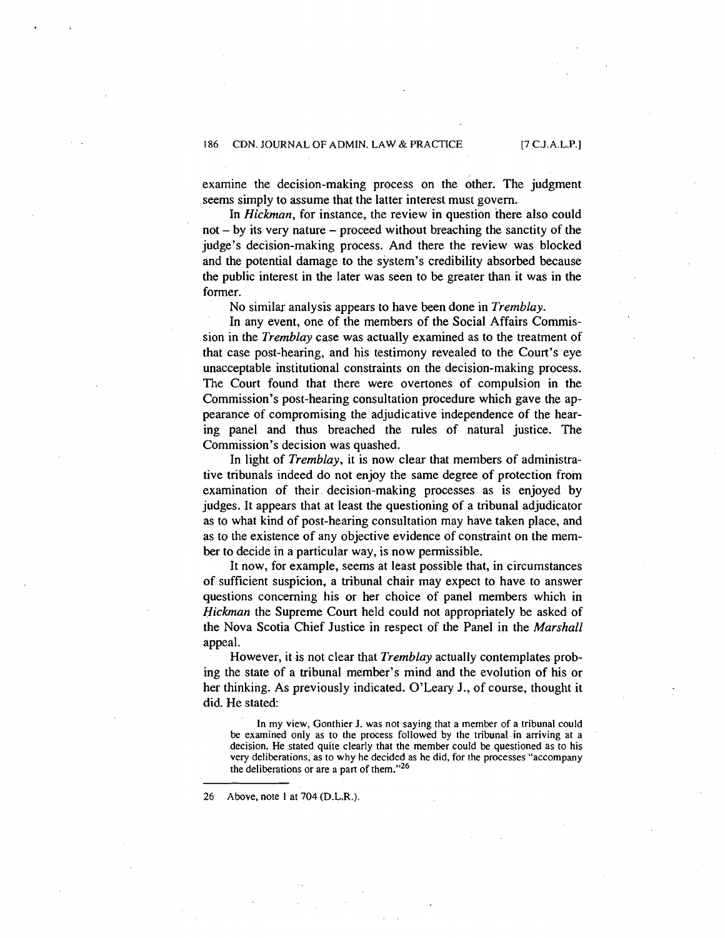examine the decision-making process on the other. The judgment seems simply to assume that the latter interest must govern.

In *Hickman,* for instance, the review in question there also could  $not - by$  its very nature  $-$  proceed without breaching the sanctity of the judge's decision-making process. And there the review was blocked and the potential damage to the system's credibility absorbed because the public interest in the later was seen to be greater than it was in the former.

No similar analysis appears to have been done in *Tremblay.* 

In any event, one of the members of the Social Affairs Commission in the *Tremblay* case was actually examined as to the treatment of that case post-hearing, and his testimony revealed to the Court's eye unacceptable institutional constraints on the decision-making process. The Court found that there were overtones of compulsion in the Commission's post-hearing consultation procedure which gave the appearance of compromising the adjudicative independence of the hearing panel and thus breached the rules of natural justice. The Commission's decision was quashed.

In light of *Tremblay,* it is now clear that members of administrative tribunals indeed do not enjoy the same degree of protection from examination of their decision-making processes as is enjoyed by judges. It appears that at least the questioning of a tribunal adjudicator as to what kind of post-hearing consultation may have taken place, and as to the existence of any objective evidence of constraint on the member to decide in a particular way, is now permissible.

It now, for example, seems at least possible that, in circumstances of sufficient suspicion, a tribunal chair may expect to have to answer questions concerning his or her choice of panel members which in *Hickman* the Supreme Court held could not appropriately be asked of the Nova Scotia Chief Justice in respect of the Panel in the *Marshall*  appeal.

However, it is not clear that *Tremblay* actually contemplates probing the state of a tribunal member's mind and the evolution of his or her thinking. As previously indicated. O'Leary J., of course, thought it did. He stated:

**In my view, Gonthier J. was not saying that a member of a tribunal could be examined only as to the process followed by the tribunal.in arriving at a decision. He stated quite clearly that the member could be questioned as to his very deliberations, as to why he decided as he did, for the processes "accompany the deliberations or are a part of them."26** 

**26 Above, note I at 704 (D.L.R.)**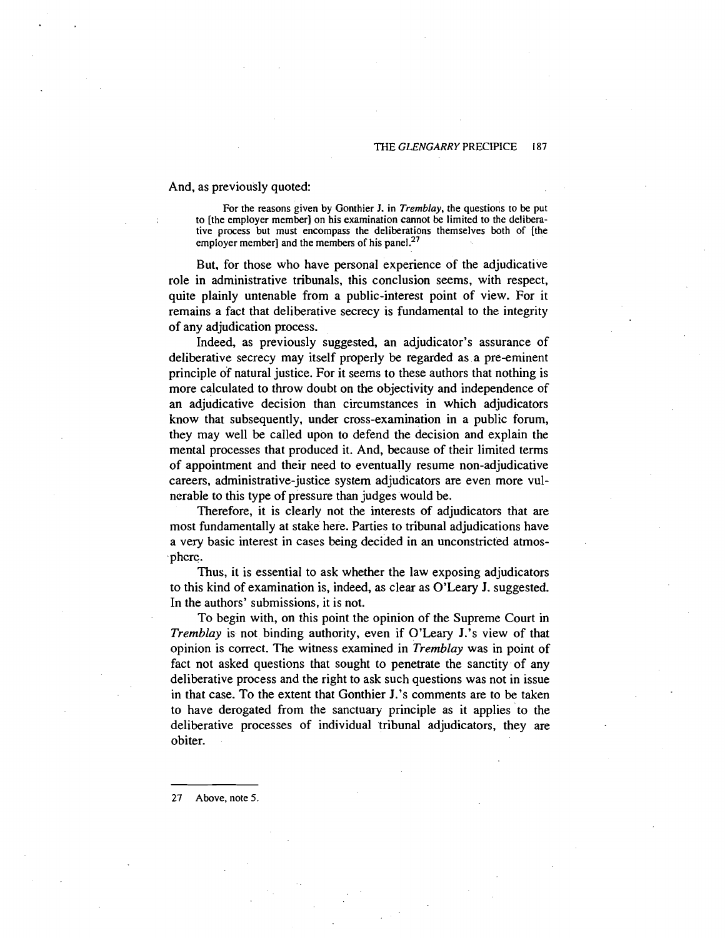And, as previously quoted:

**For the reasons given by Gonthier J. in** *Tremblay,* **the questions to be put to [the employer member] on his examination cannot be limited to the deliberative process but must encompass the deliberations themselves both of [the**  employer member] and the members of his panel.<sup>27</sup>

But, for those who have personal experience of the adjudicative role in administrative tribunals, this conclusion seems, with respect, quite plainly untenable from a public-interest point of view. For it remains a fact that deliberative secrecy is fundamental to the integrity of any adjudication process.

Indeed, as previously suggested, an adjudicator's assurance of deliberative secrecy may itself properly be regarded as a pre-eminent principle of natural justice. For it seems to these authors that nothing is more calculated to throw doubt on the objectivity and independence of an adjudicative decision than circumstances in which adjudicators know that subsequently, under cross-examination in a public forum, they may well be called upon to defend the decision and explain the mental processes that produced it. And, because of their limited terms of appointment and their need to eventually resume non-adjudicative careers, administrative-justice system adjudicators are even more vulnerable to this type of pressure than judges would be.

Therefore, it is clearly not the interests of adjudicators that are most fundamentally at stake here. Parties to tribunal adjudications have a very basic interest in cases being decided in an unconstricted atmosphcrc.

Thus, it is essential to ask whether the law exposing adjudicators to this kind of examination is, indeed, as clear as O'Leary J. suggested. In the authors' submissions, it is not.

To begin with, on this point the opinion of the Supreme Court in *Tremblay* is not binding authority, even if O'Leary J.'s view of that opinion is correct. The witness examined in *Tremblay* was in point of fact not asked questions that sought to penetrate the sanctity of any deliberative process and the right to ask such questions was not in issue in that case. To the extent that Gonthier J.'s comments are to be taken to have derogated from the sanctuary principle as it applies to the deliberative processes of individual tribunal adjudicators, they are obiter.

**27 Above, note** *5.*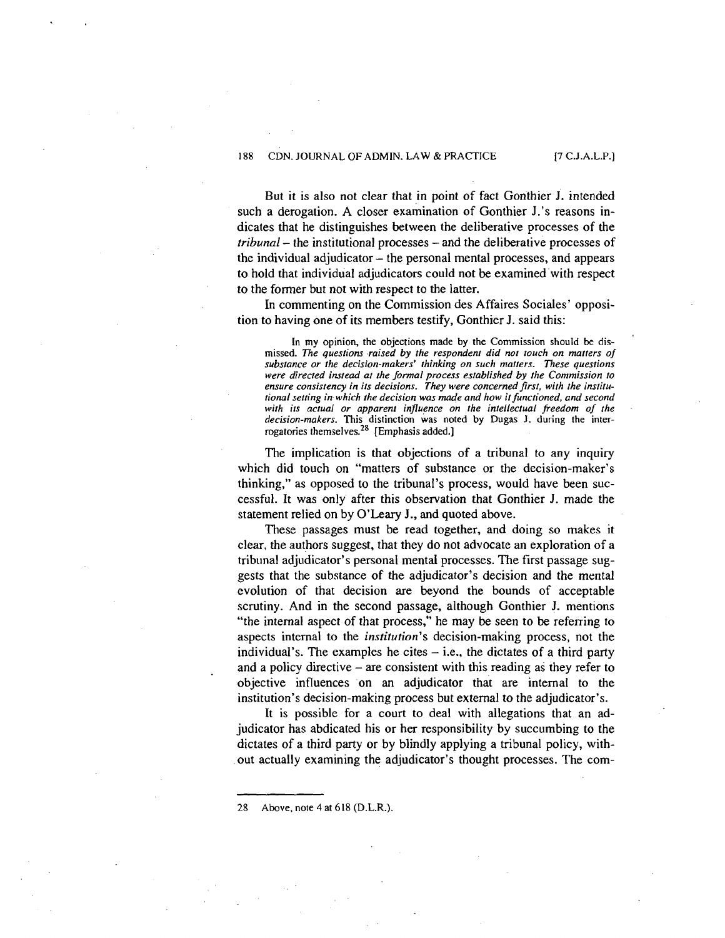But it is also not clear that in point of fact Gonthier J. intended such a derogation. A closer examination of Gonthier J.'s reasons indicates that he distinguishes between the deliberative processes of the tribunal – the institutional processes – and the deliberative processes of the individual adjudicator  $-$  the personal mental processes, and appears to hold that individual adjudicators could not be examined'with respect to the former but not with respect to the latter.

In commenting on the Commission des Affaires Sociales' opposition to having one of its members testify, Gonthier J. said this:

**In my opinion, the objections made by the Commission should** *be* **dis**missed. The questions raised by the respondent did not touch on matters of *substance or the decision-makers' thinking on such matters. These questions were directed instead at the formal process established by the Commission to*  ensure consistency in its decisions. They were concerned first, with the institu*tional setting in which the decision was made and how itfunctioned, and second with its actual or apparent influence on the intellectual freedom of the decision-makers.* **This distinction was noted by Dugas J. during the inter**rogatories themselves.<sup>26</sup> [Emphasis added.]

The implication is that objections of a tribunal to any inquiry which did touch on "matters of substance or the decision-maker's thinking," as opposed to the tribunal's process, would have been successful. It was only after this observation that Gonthier J. made the statement relied on by **O'Leary** J., and quoted above.

These passages must be read together, and doing so makes it clear, the authors suggest, that they do not advocate an exploration of a tribunal adjudicator's personal mental processes. The first passage suggests that the substance of the adjudicator's decision and the merital cvolution of that decision are beyond the bounds of acceptable scrutiny. And in the second passage, although Gonthier J. mentions "the internal aspect of that process," he may be seen to be referring to aspects internal to the institution's decision-making process, not the individual's. The examples he cites  $-$  i.e., the dictates of a third party and a policy directive  $-$  are consistent with this reading as they refer to objective influences on an adjudicator that are internal to the institution's decision-making process but external to the adjudicator's.

It is possible for a court to deal with allegations that an adjudicator has abdicated his or her responsibility by succumbing to the dictates of a third party or by blindly applying a tribunal policy, without actually examining the adjudicator's thought processes. The com-

28 **Above, note 4 at 6 18 (D.L.R.).**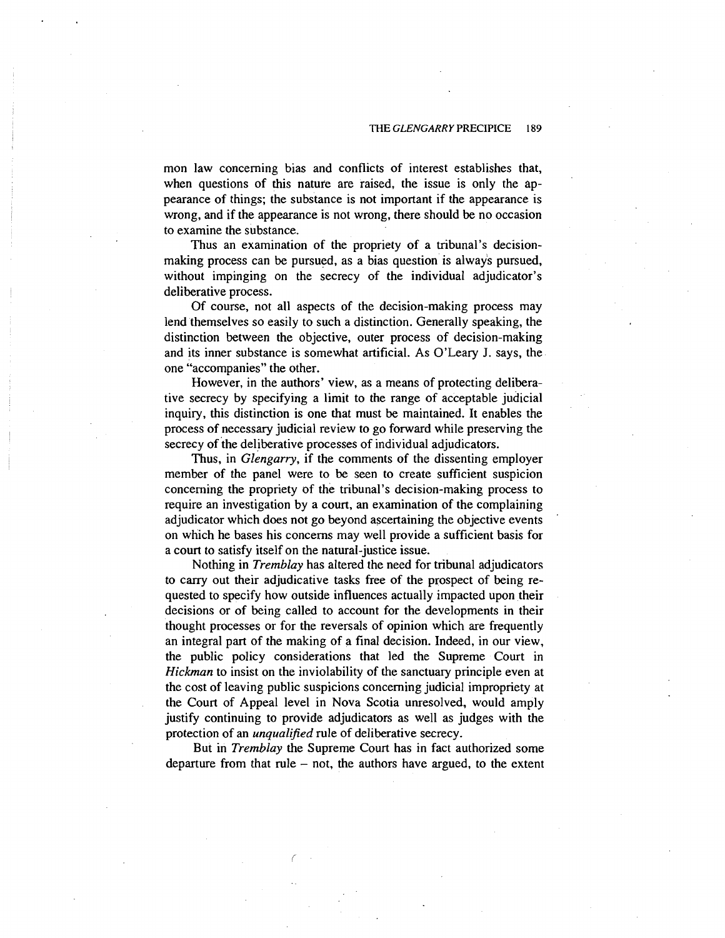mon law concerning bias and conflicts of interest establishes that, when questions of this nature are raised, the issue is only the appearance of things; the substance is not important if the appearance is wrong, and if the appearance is not wrong, there should be no occasion to examine the substance.

Thus an examination of the propriety of a tribunal's decisionmaking process can be pursued, as a bias question is always pursued, without impinging on the secrecy of the individual adjudicator's deliberative process.

Of course, not all aspects of the decision-making process may lend themselves so easily to such a distinction. Generally speaking, the distinction between the objective, outer process of decision-making and its inner substance is somewhat artificial. As O'Leary J. says, the one "accompanies" the other.

However, in the authors' view, as a means of protecting deliberative secrecy by specifying a limit to the range of acceptable judicial inquiry, this distinction is one that must be maintained. It enables the process of necessary judicial review to go forward while preserving the secrecy of the deliberative processes of individual adjudicators.

Thus, in *Glengarry,* if the comments of the dissenting employer member of the panel were to be seen to create sufficient suspicion concerning the propriety of the tribunal's decision-making process to require an investigation by a court, an examination of the complaining adjudicator which does not go beyond ascertaining the objective events on which he bases his concerns may well provide a sufficient basis for a court to satisfy itself on the natural-justice issue.

Nothing in *Tremblay* has altered the need for tribunal adjudicators to carry out their adjudicative tasks free of the prospect of being requested to specify how outside influences actually impacted upon their decisions or of being called to account for the developments in their thought processes or for the reversals of opinion which are frequently an integral part of the making of a final decision. Indeed, in our view, the public policy considerations that led the Supreme Court in *Hickman* to insist on the inviolability of the sanctuary principle even at the cost of leaving public suspicions concerning judicial impropriety at the Court of Appeal level in Nova Scotia unresolved, would amply justify continuing to provide adjudicators as well as judges with the protection of an *unqualified* rule of deliberative secrecy.

But in *Tremblay* the Supreme Court has in fact authorized some departure from that rule  $-$  not, the authors have argued, to the extent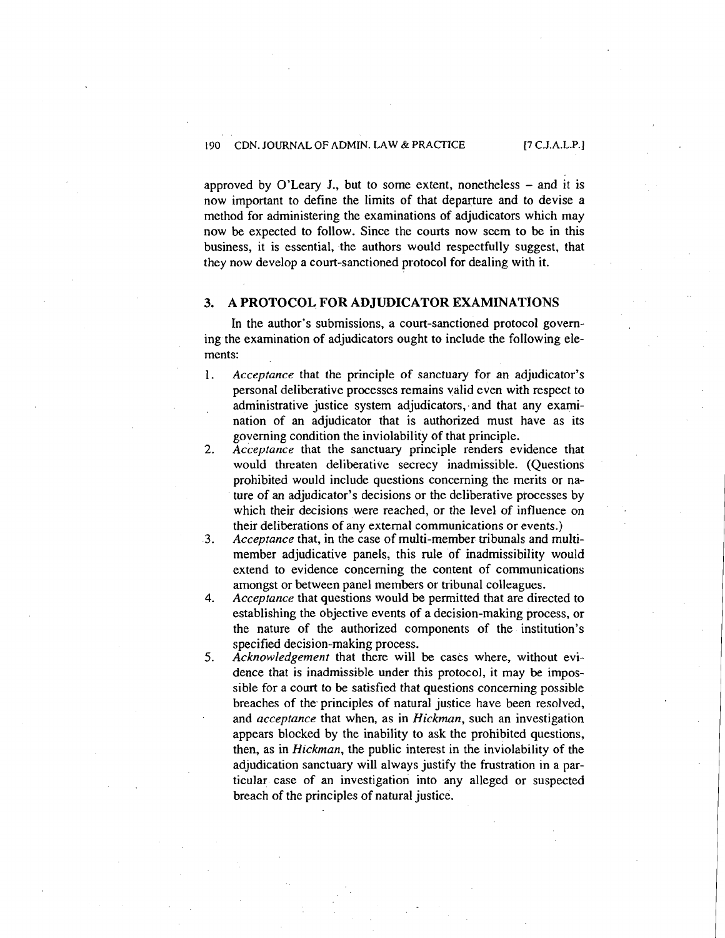approved by O'Leary J., but to some extent, nonetheless  $-$  and it is now important to define the limits of that departure and to devise a method for administering the examinations of adjudicators which may now be expected to follow. Since the courts now seem to be in this business, it is essential, the authors would respectfully suggest, that they now develop a court-sanctioned protocol for dealing with it.

## **3. A PROTOCOL FOR ADJUDICATOR EXAMINATIONS**

In the author's submissions, a court-sanctioned protocol governing the examination of adjudicators ought to include the following elements:

- 1. *Acceptance* that the principle of sanctuary for an adjudicator's personal deliberative processes remains valid even with respect to administrative justice system adjudicators, and that any examination of an adjudicator that is authorized must have as its governing condition the inviolability of that principle.
- 2. *Acceptance* that the sanctuary principle renders evidence that would threaten deliberative secrecy inadmissible. (Questions prohibited would include questions concerning the merits or nature of an adjudicator's decisions or the deliberative processes by which their decisions were reached, or the level of influence on their deliberations of any external communications or events.)
- **3.** *Acceptance* that, in the case of multi-member tribunals and multimember adjudicative panels, this rule of inadmissibility would extend to evidence concerning the content of communications amongst or between panel members or tribunal colleagues.
- **4.** *Acceptance* that questions would be permitted that are directed to establishing the objective events of a decision-making process, or the nature of the authorized components of the institution's specified decision-making process.
- *5. Acknowledgement* that there will be cases where, without evidence that is inadmissible under this protocol, it may be impossible for a court to be satisfied that questions concerning possible breaches of the principles of natural justice have been resolved, and *acceptance* that when, as in *Hickman,* such an investigation appears blocked by the inability to ask the prohibited questions, then, as in *Hickman,* the public interest in the inviolability of the adjudication sanctuary will always justify the frustration in a particular case of an investigation into any alleged or suspected breach of the principles of natural justice.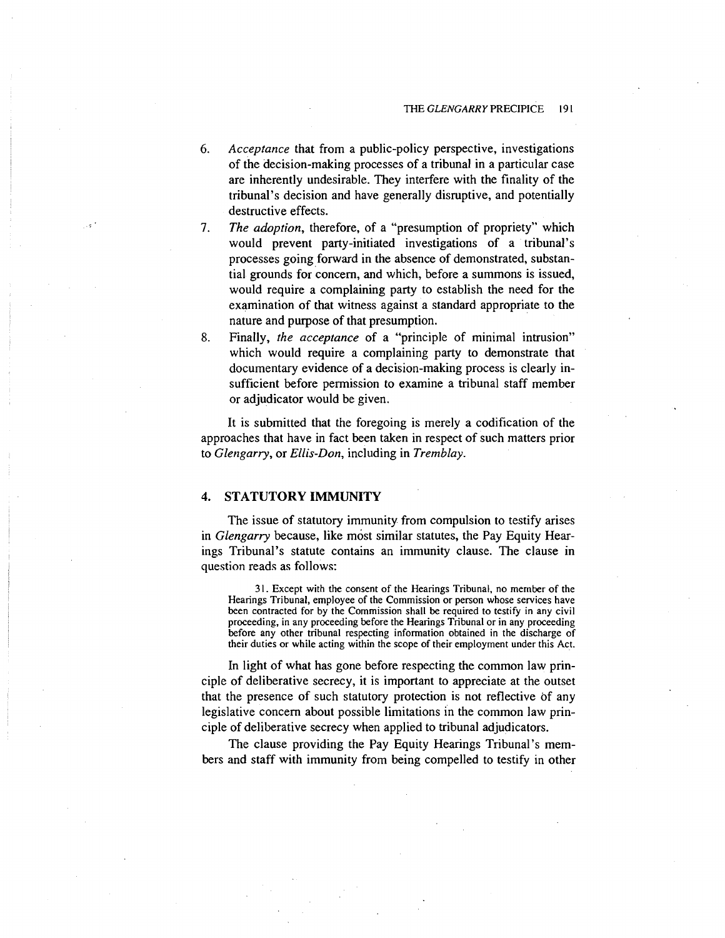- *6.* Acceptance that from a public-policy perspective, investigations of the decision-making processes of a tribunal in a particular case are inherently undesirable. They interfere with the finality of the tribunal's decision and have generally disruptive, and potentially destructive effects.
- 7. The adoption, therefore, of a "presumption of propriety" which would prevent party-initiated investigations of a tribunal's processes going forward in the absence of demonstrated, substantial grounds for concern, and which, before a summons is issued, would require a complaining party to establish the need for the examination of that witness against a standard appropriate to the nature and purpose of that presumption.
- **8.** Finally, the acceptance of a "principle of minimal intrusion" which would require a complaining party to demonstrate that documentary evidence of a decision-making process is clearly insufficient before permission to examine a tribunal staff member or adjudicator would be given.

It is submitted that the foregoing is merely a codification of the approaches that have in fact been taken in respect of such matters prior to Glengarry, or Ellis-Don, including in Tremblay.

## **4. STATUTORY IMMUNITY**

The issue of statutory immunity from compulsion to testify arises in Glengarry because, like most similar statutes, the Pay Equity Hearings Tribunal's statute contains an immunity clause. The clause in question reads as follows:

3 1. Except with the consent of the Hearings Tribunal, no member of the Hearings Tribunal, employee of the Commission or person whose services have been contracted for by the Commission shall be required to testify in any civil proceeding, in any proceeding before the Hearings Tribunal or in any proceeding before any other tribunal respecting information obtained in the discharge of their duties or while acting within the scope of their employment under this Act.

In light of what has gone before respecting the common law principle of deliberative secrecy, it is important to appreciate at the outset that the presence of such statutory protection is not reflective of any legislative concern about possible limitations in the common law principle of deliberative secrecy when applied to tribunal adjudicators.

The clause providing the Pay Equity Hearings Tribunal's members and staff with immunity from being compelled to testify in other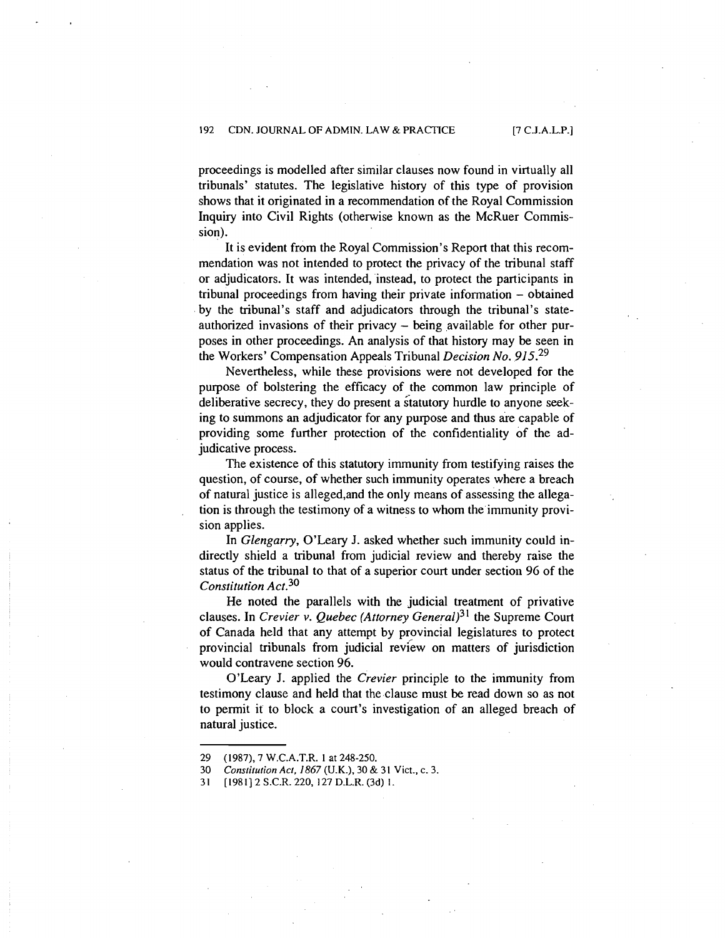proceedings is modelled after similar clauses now found in virtually all tribunals' statutes. The legislative history of this type of provision shows that it originated in a recommendation of the Royal Commission Inquiry into Civil Rights (otherwise known as the McRuer Commission).

It is evident from the Royal Commission's Report that this recommendation was not intended to protect the privacy of the tribunal staff or adjudicators. It was intended, instead, to protect the participants in tribunal proceedings from having their private information - obtained by the tribunal's staff and adjudicators through the tribunal's stateauthorized invasions of their privacy - being available for other purposes in other proceedings. An analysis of that history may be seen in the Workers' Compensation Appeals Tribunal *Decision No.* 915.<sup>29</sup>

Nevertheless, while these provisions were not developed for the purpose of bolstering the efficacy of the common law principle of deliberative secrecy, they do present a statutory hurdle to anyone seeking to summons an adjudicator for any purpose and thus are capable of providing some further protection of the confidentiality of the adjudicative process.

The existence of this statutory immunity from testifying raises the question, of course, of whether such immunity operates where a breach of natural justice is alleged,and the only means of assessing the allegation is through the testimony of a witness to whom the immunity provision applies.

In *Glengarry,* O'Leary J. asked whether such immunity could indirectly shield a tribunal from judicial review and thereby raise the status of the tribunal to that of a superior court under section 96 of the *Constitution Act.*<sup>30</sup>

He noted the parallels with the judicial treatment of privative clauses. In *Crevier v. Quebec (Attorney General*)<sup>31</sup> the Supreme Court of Canada held that any attempt by provincial legislatures to protect provincial tribunals from judicial review on matters of jurisdiction would contravene section 96.

O'Leary J. applied the *Crevier* principle to the immunity from testimony clause and held that the clause must be read down so as not to permit it to block a court's investigation of an alleged breach of natural justice.

*<sup>29 (1987), 7</sup>* **W.C.A.T.R.** *1* **at** *248-250.* 

*<sup>30</sup> Constitution Act, 1867 (U.K.), 30* & *31* **Vict., c.** *3.* 

*<sup>31 [</sup>I9811 2* **S.C.R.** *220, 127* **D.L.R.** *(3d) 1.*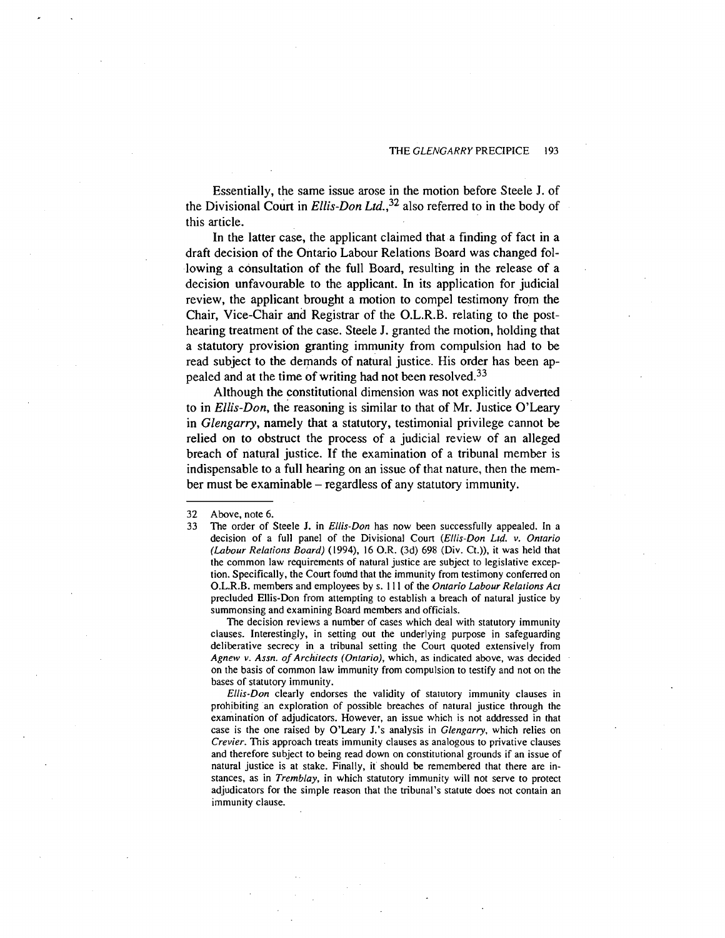Essentially, the same issue arose in the motion before Steele J. of the Divisional Court in Ellis-Don Ltd.,  $32$  also referred to in the body of this article.

In the latter case, the applicant claimed that a finding of fact in a draft decision of the Ontario Labour Relations Board was changed following a consultation of the full Board, resulting in the release of a decision unfavourable to the applicant. In its application for judicial review, the applicant brought a motion to compel testimony from the Chair, Vice-Chair and Registrar of the O.L.R.B. relating to the posthearing treatment of the case. Steele J. granted the motion, holding that a statutory provision granting immunity from compulsion had to be read subject to the demands of natural justice. His order has been appealed and at the time of writing had not been resolved.<sup>33</sup>

Although the constitutional dimension was not explicitly adverted to in Ellis-Don, the reasoning is similar to that of Mr. Justice O'Leary in Glengarry, namely that a statutory, testimonial privilege cannot be relied on to obstruct the process of a judicial review of an alleged breach of natural justice. If the examination of a tribunal member is indispensable to a full hearing on an issue of that nature, then the member must be examinable – regardless of any statutory immunity.

The decision reviews a number of cases which deal with statutory immunity clauses. Interestingly, in setting out the underlying purpose in safeguarding deliberative secrecy in a tribunal setting the Court quoted extensively from *Agnew v. Assn. of Architects (Ontario), which, as indicated above, was decided* on the basis of common law immunity from compulsion to testify and not on the bases of statutory immunity.

*Ellis-Don* clearly endorses the validity of statutory immunity clauses in prohibiting an exploration of possible breaches of natural justice through the examination of adjudicators. However, an issue which is not addressed in that case is the one raised by O'Leary J.'s analysis in *Glengarty,* which relies on *Crevier.* This approach treats immunity clauses as analogous to privative clauses and therefore subject to being read down on constitutional grounds if an issue of natural justice is at stake. Finally, it should be remembered that there are instances, as in *Tremblay,* in which statutory immunity will not serve to protect adjudicators for the simple reason that the tribunal's statute does not contain an immunity clause.

<sup>32</sup> Above, note 6.

<sup>33</sup> The order of Steele J. in *Ellis-Don* has now been successfully appealed. In a decision of a full panel of the Divisional Court *(Ellis-Don Ltd. v. Ontario (Labour Relarions Board)* (1994), 16 O.R. (3d) 698 (Div. Ct.)), it was held that the common law requirements of natural justice are subject to legislative exception. Specifically, the Court fouhd that the immunity from testimony conferred on O.L.R.B. members and employees by s. 1 11 of the *Onrario Labour Relations Acr*  precluded Ellis-Don from attempting to establish a breach of natural justice by summonsing and examining Board members and officials.